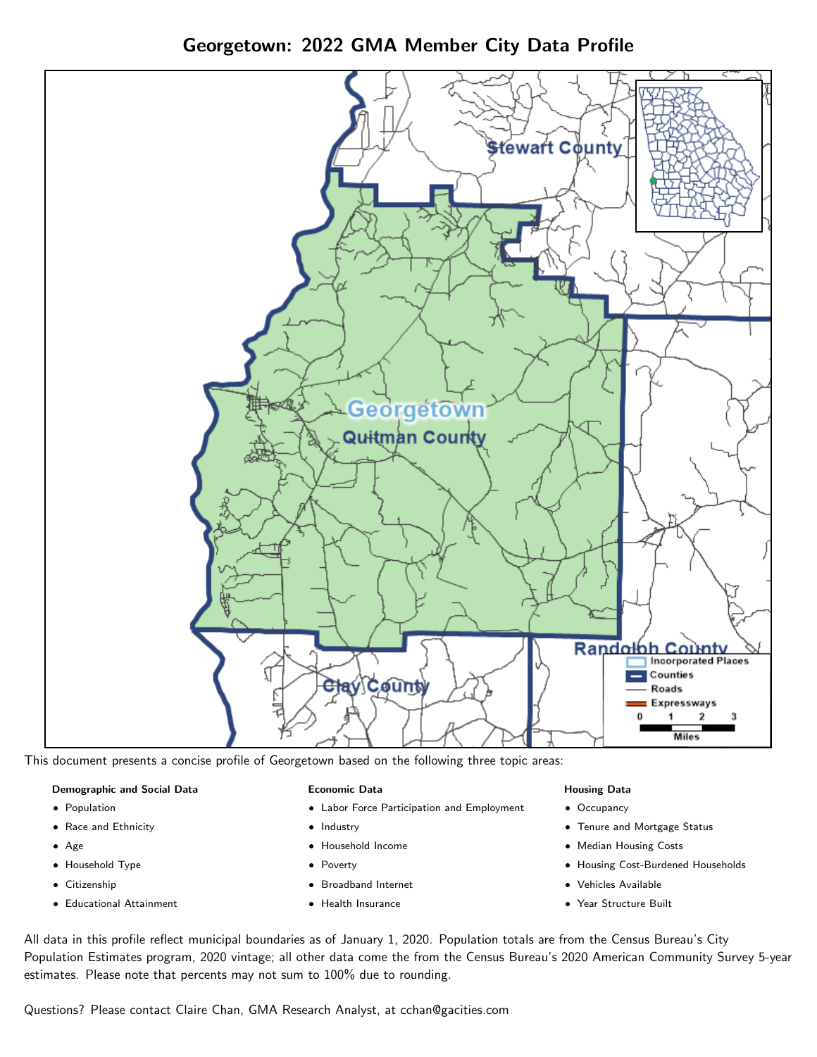Georgetown: 2022 GMA Member City Data Profile





### Demographic and Social Data

- **•** Population
- Race and Ethnicity
- Age
- Household Type
- **Citizenship**
- Educational Attainment

### Economic Data

- Labor Force Participation and Employment
- Industry
- Household Income
- Poverty
- Broadband Internet
- Health Insurance

### Housing Data

- Occupancy
- Tenure and Mortgage Status
- Median Housing Costs
- Housing Cost-Burdened Households
- Vehicles Available
- Year Structure Built

All data in this profile reflect municipal boundaries as of January 1, 2020. Population totals are from the Census Bureau's City Population Estimates program, 2020 vintage; all other data come the from the Census Bureau's 2020 American Community Survey 5-year estimates. Please note that percents may not sum to 100% due to rounding.

Questions? Please contact Claire Chan, GMA Research Analyst, at [cchan@gacities.com.](mailto:cchan@gacities.com)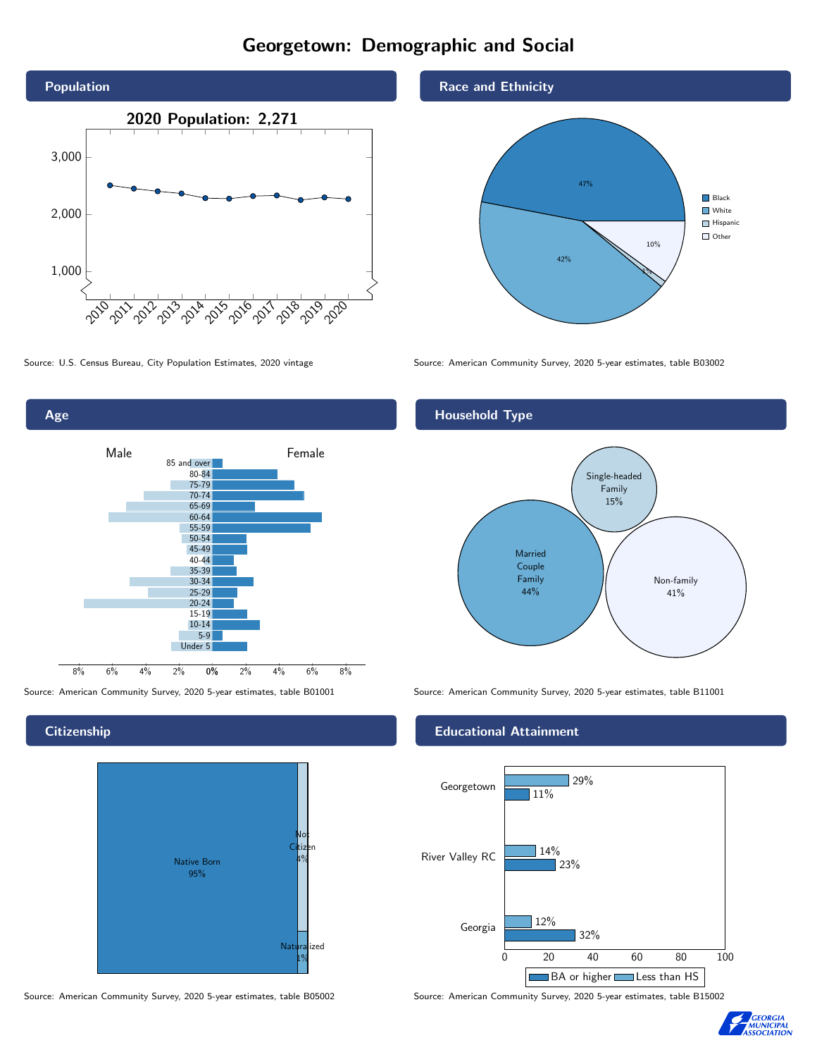# Georgetown: Demographic and Social





**Citizenship** 



Source: American Community Survey, 2020 5-year estimates, table B05002 Source: American Community Survey, 2020 5-year estimates, table B15002

## Race and Ethnicity



Source: U.S. Census Bureau, City Population Estimates, 2020 vintage Source: American Community Survey, 2020 5-year estimates, table B03002

## Household Type



Source: American Community Survey, 2020 5-year estimates, table B01001 Source: American Community Survey, 2020 5-year estimates, table B11001

### Educational Attainment



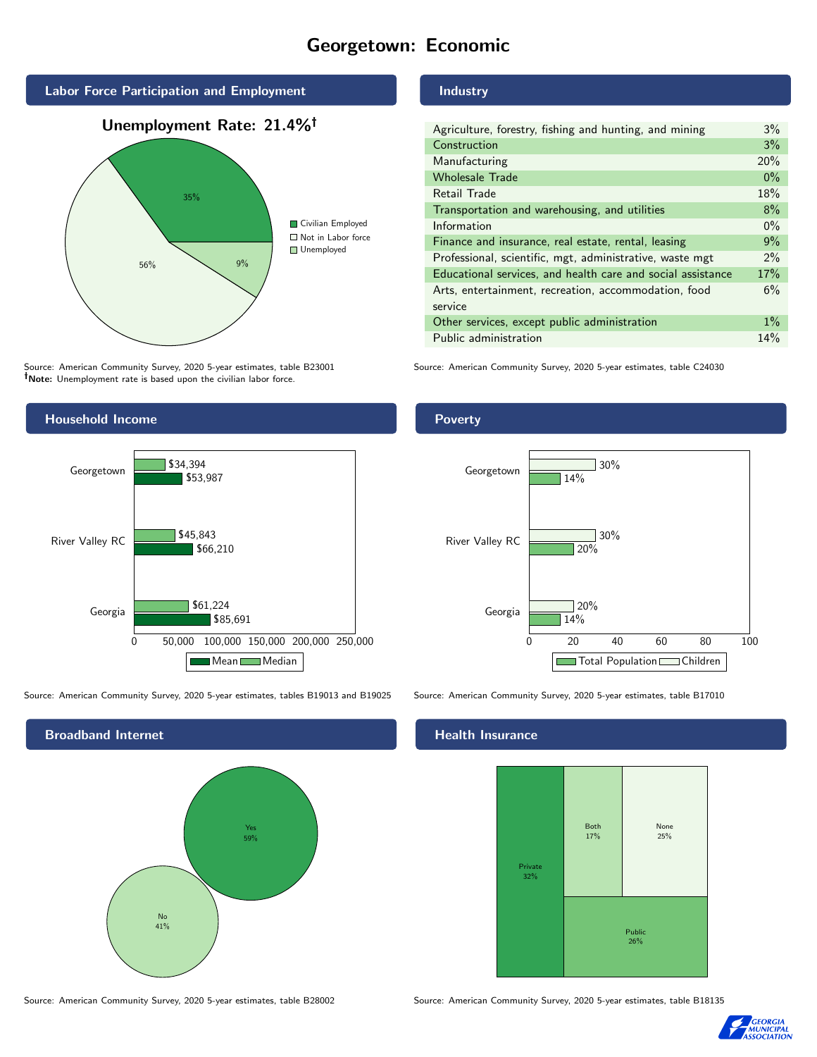# Georgetown: Economic



Source: American Community Survey, 2020 5-year estimates, table B23001 Note: Unemployment rate is based upon the civilian labor force.

# Industry

| Agriculture, forestry, fishing and hunting, and mining      | $3\%$ |
|-------------------------------------------------------------|-------|
| Construction                                                | 3%    |
| Manufacturing                                               | 20%   |
| <b>Wholesale Trade</b>                                      | $0\%$ |
| Retail Trade                                                | 18%   |
| Transportation and warehousing, and utilities               | 8%    |
| Information                                                 | $0\%$ |
| Finance and insurance, real estate, rental, leasing         | 9%    |
| Professional, scientific, mgt, administrative, waste mgt    | $2\%$ |
| Educational services, and health care and social assistance | 17%   |
| Arts, entertainment, recreation, accommodation, food        | 6%    |
| service                                                     |       |
| Other services, except public administration                | $1\%$ |
| Public administration                                       | 14%   |

Source: American Community Survey, 2020 5-year estimates, table C24030



Source: American Community Survey, 2020 5-year estimates, tables B19013 and B19025 Source: American Community Survey, 2020 5-year estimates, table B17010

Broadband Internet No 41% Yes 59% **Poverty** 



### Health Insurance



Source: American Community Survey, 2020 5-year estimates, table B28002 Source: American Community Survey, 2020 5-year estimates, table B18135